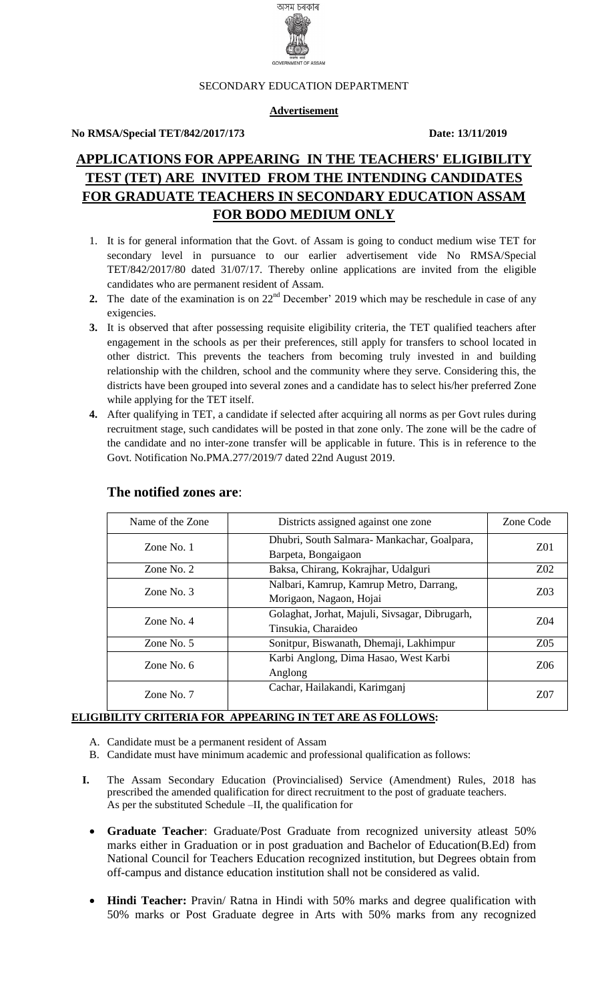

#### SECONDARY EDUCATION DEPARTMENT

## **Advertisement**

#### **No RMSA/Special TET/842/2017/173 Date: 13/11/2019**

# **APPLICATIONS FOR APPEARING IN THE TEACHERS' ELIGIBILITY TEST (TET) ARE INVITED FROM THE INTENDING CANDIDATES FOR GRADUATE TEACHERS IN SECONDARY EDUCATION ASSAM FOR BODO MEDIUM ONLY**

- 1. It is for general information that the Govt. of Assam is going to conduct medium wise TET for secondary level in pursuance to our earlier advertisement vide No RMSA/Special TET/842/2017/80 dated 31/07/17. Thereby online applications are invited from the eligible candidates who are permanent resident of Assam.
- **2.** The date of the examination is on  $22<sup>nd</sup>$  December' 2019 which may be reschedule in case of any exigencies.
- **3.** It is observed that after possessing requisite eligibility criteria, the TET qualified teachers after engagement in the schools as per their preferences, still apply for transfers to school located in other district. This prevents the teachers from becoming truly invested in and building relationship with the children, school and the community where they serve. Considering this, the districts have been grouped into several zones and a candidate has to select his/her preferred Zone while applying for the TET itself.
- **4.** After qualifying in TET, a candidate if selected after acquiring all norms as per Govt rules during recruitment stage, such candidates will be posted in that zone only. The zone will be the cadre of the candidate and no inter-zone transfer will be applicable in future. This is in reference to the Govt. Notification No.PMA.277/2019/7 dated 22nd August 2019.

| Name of the Zone | Districts assigned against one zone                                   |                  |
|------------------|-----------------------------------------------------------------------|------------------|
| Zone No. 1       | Dhubri, South Salmara-Mankachar, Goalpara,<br>Barpeta, Bongaigaon     | Z01              |
| Zone No. $2$     | Baksa, Chirang, Kokrajhar, Udalguri                                   | Z <sub>0</sub> 2 |
| Zone No. $3$     | Nalbari, Kamrup, Kamrup Metro, Darrang,<br>Morigaon, Nagaon, Hojai    | Z <sub>03</sub>  |
| Zone No. $4$     | Golaghat, Jorhat, Majuli, Sivsagar, Dibrugarh,<br>Tinsukia, Charaideo | Z04              |
| Zone No. $5$     | Sonitpur, Biswanath, Dhemaji, Lakhimpur                               | Z <sub>05</sub>  |
| Zone No. $6$     | Karbi Anglong, Dima Hasao, West Karbi<br>Anglong                      |                  |
| Zone No. 7       | Cachar, Hailakandi, Karimganj                                         | Z07              |

## **The notified zones are**:

## **ELIGIBILITY CRITERIA FOR APPEARING IN TET ARE AS FOLLOWS:**

- A. Candidate must be a permanent resident of Assam
- B. Candidate must have minimum academic and professional qualification as follows:
- **I.** The Assam Secondary Education (Provincialised) Service (Amendment) Rules, 2018 has prescribed the amended qualification for direct recruitment to the post of graduate teachers. As per the substituted Schedule –II, the qualification for
	- **Graduate Teacher**: Graduate/Post Graduate from recognized university atleast 50% marks either in Graduation or in post graduation and Bachelor of Education(B.Ed) from National Council for Teachers Education recognized institution, but Degrees obtain from off-campus and distance education institution shall not be considered as valid.
	- **Hindi Teacher:** Pravin/ Ratna in Hindi with 50% marks and degree qualification with 50% marks or Post Graduate degree in Arts with 50% marks from any recognized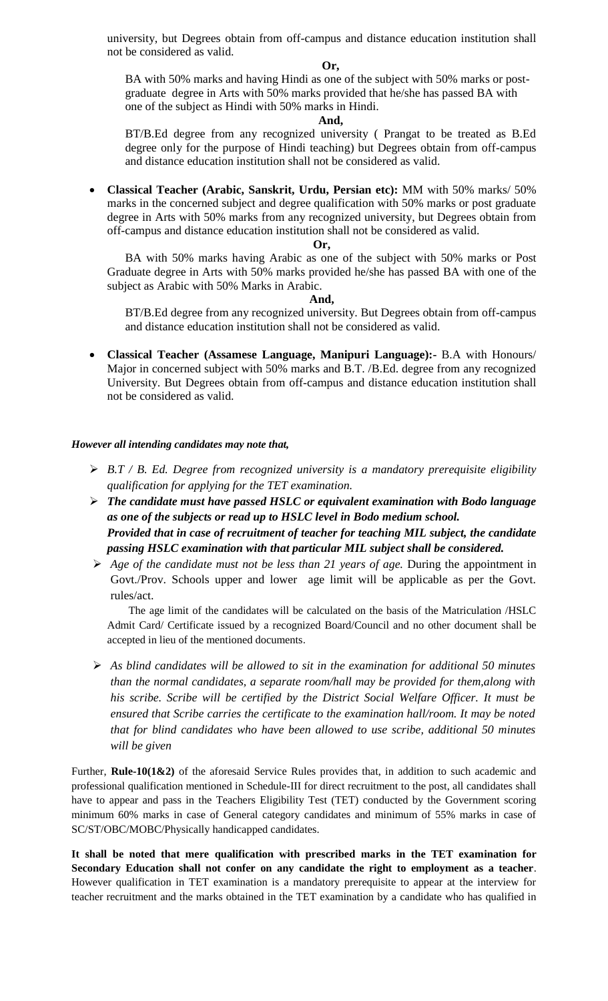university, but Degrees obtain from off-campus and distance education institution shall not be considered as valid.

#### **Or,**

BA with 50% marks and having Hindi as one of the subject with 50% marks or postgraduate degree in Arts with 50% marks provided that he/she has passed BA with one of the subject as Hindi with 50% marks in Hindi.

#### **And,**

BT/B.Ed degree from any recognized university ( Prangat to be treated as B.Ed degree only for the purpose of Hindi teaching) but Degrees obtain from off-campus and distance education institution shall not be considered as valid.

 **Classical Teacher (Arabic, Sanskrit, Urdu, Persian etc):** MM with 50% marks/ 50% marks in the concerned subject and degree qualification with 50% marks or post graduate degree in Arts with 50% marks from any recognized university, but Degrees obtain from off-campus and distance education institution shall not be considered as valid.

#### **Or,**

BA with 50% marks having Arabic as one of the subject with 50% marks or Post Graduate degree in Arts with 50% marks provided he/she has passed BA with one of the subject as Arabic with 50% Marks in Arabic.

### **And,**

BT/B.Ed degree from any recognized university. But Degrees obtain from off-campus and distance education institution shall not be considered as valid.

 **Classical Teacher (Assamese Language, Manipuri Language):-** B.A with Honours/ Major in concerned subject with 50% marks and B.T. /B.Ed. degree from any recognized University. But Degrees obtain from off-campus and distance education institution shall not be considered as valid.

## *However all intending candidates may note that,*

- *B.T / B. Ed. Degree from recognized university is a mandatory prerequisite eligibility qualification for applying for the TET examination.*
- *The candidate must have passed HSLC or equivalent examination with Bodo language as one of the subjects or read up to HSLC level in Bodo medium school. Provided that in case of recruitment of teacher for teaching MIL subject, the candidate passing HSLC examination with that particular MIL subject shall be considered.*
- *Age of the candidate must not be less than 21 years of age.* During the appointment in Govt./Prov. Schools upper and lower age limit will be applicable as per the Govt. rules/act.

The age limit of the candidates will be calculated on the basis of the Matriculation /HSLC Admit Card/ Certificate issued by a recognized Board/Council and no other document shall be accepted in lieu of the mentioned documents.

 *As blind candidates will be allowed to sit in the examination for additional 50 minutes than the normal candidates, a separate room/hall may be provided for them,along with his scribe. Scribe will be certified by the District Social Welfare Officer. It must be ensured that Scribe carries the certificate to the examination hall/room. It may be noted that for blind candidates who have been allowed to use scribe, additional 50 minutes will be given*

Further, **Rule-10(1&2)** of the aforesaid Service Rules provides that, in addition to such academic and professional qualification mentioned in Schedule-III for direct recruitment to the post, all candidates shall have to appear and pass in the Teachers Eligibility Test (TET) conducted by the Government scoring minimum 60% marks in case of General category candidates and minimum of 55% marks in case of SC/ST/OBC/MOBC/Physically handicapped candidates.

**It shall be noted that mere qualification with prescribed marks in the TET examination for Secondary Education shall not confer on any candidate the right to employment as a teacher**. However qualification in TET examination is a mandatory prerequisite to appear at the interview for teacher recruitment and the marks obtained in the TET examination by a candidate who has qualified in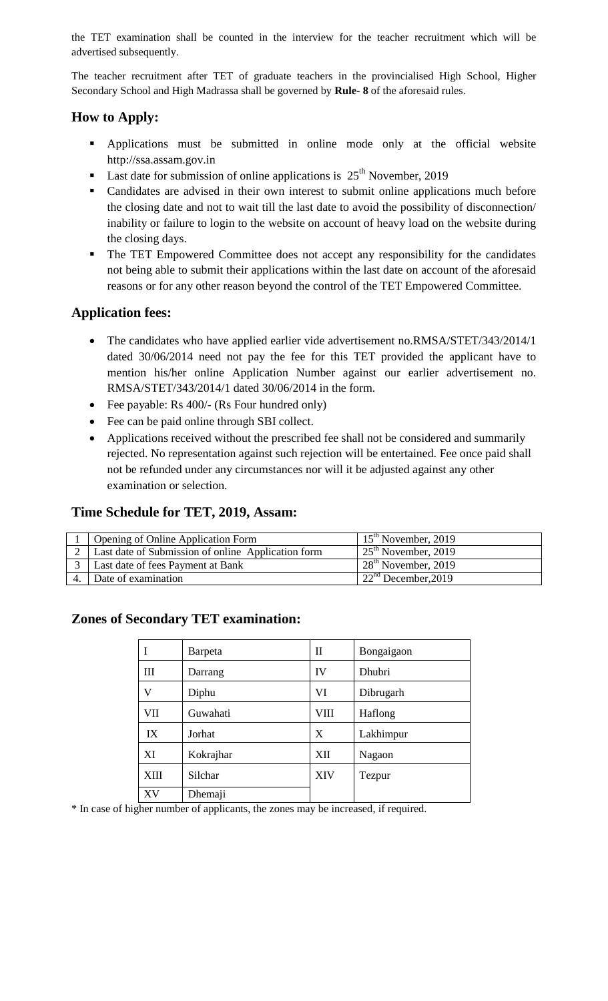the TET examination shall be counted in the interview for the teacher recruitment which will be advertised subsequently.

The teacher recruitment after TET of graduate teachers in the provincialised High School, Higher Secondary School and High Madrassa shall be governed by **Rule- 8** of the aforesaid rules.

# **How to Apply:**

- Applications must be submitted in online mode only at the official website http://ssa.assam.gov.in
- **Last date for submission of online applications is**  $25<sup>th</sup>$  **November, 2019**
- Candidates are advised in their own interest to submit online applications much before the closing date and not to wait till the last date to avoid the possibility of disconnection/ inability or failure to login to the website on account of heavy load on the website during the closing days.
- The TET Empowered Committee does not accept any responsibility for the candidates not being able to submit their applications within the last date on account of the aforesaid reasons or for any other reason beyond the control of the TET Empowered Committee.

# **Application fees:**

- The candidates who have applied earlier vide advertisement no.RMSA/STET/343/2014/1 dated 30/06/2014 need not pay the fee for this TET provided the applicant have to mention his/her online Application Number against our earlier advertisement no. RMSA/STET/343/2014/1 dated 30/06/2014 in the form.
- Fee payable: Rs 400/- (Rs Four hundred only)
- Fee can be paid online through SBI collect.
- Applications received without the prescribed fee shall not be considered and summarily rejected. No representation against such rejection will be entertained. Fee once paid shall not be refunded under any circumstances nor will it be adjusted against any other examination or selection.

# **Time Schedule for TET, 2019, Assam:**

| <b>Opening of Online Application Form</b>          | $15th$ November, 2019            |
|----------------------------------------------------|----------------------------------|
| Last date of Submission of online Application form | $125^{\text{th}}$ November, 2019 |
| Last date of fees Payment at Bank                  | $28th$ November, 2019            |
| Date of examination                                | 122 <sup>nd</sup> December, 2019 |

## **Zones of Secondary TET examination:**

|             | Barpeta   | $\mathbf{I}$ | Bongaigaon |  |
|-------------|-----------|--------------|------------|--|
| III         | Darrang   | IV           | Dhubri     |  |
| V           | Diphu     | VI           | Dibrugarh  |  |
| VII         | Guwahati  | VIII         | Haflong    |  |
| IX          | Jorhat    | X            | Lakhimpur  |  |
| XI          | Kokrajhar | XII          | Nagaon     |  |
| <b>XIII</b> | Silchar   | <b>XIV</b>   | Tezpur     |  |
| XV          | Dhemaji   |              |            |  |

\* In case of higher number of applicants, the zones may be increased, if required.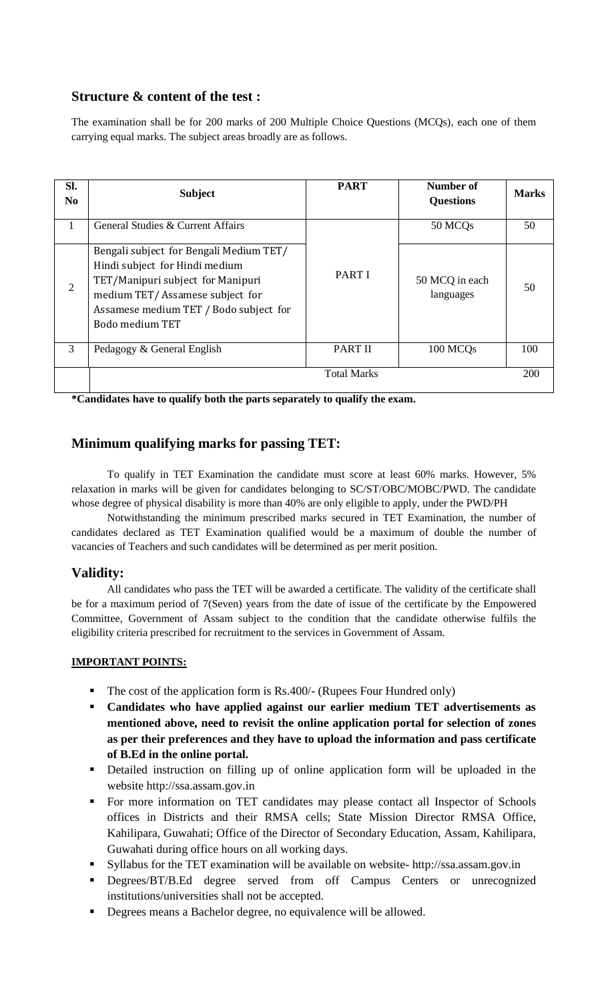# **Structure & content of the test :**

The examination shall be for 200 marks of 200 Multiple Choice Questions (MCQs), each one of them carrying equal marks. The subject areas broadly are as follows.

| Sl.<br>N <sub>0</sub> | <b>Subject</b>                                                                                                                                                                                                 | <b>PART</b>        | Number of<br><b>Questions</b> | <b>Marks</b> |
|-----------------------|----------------------------------------------------------------------------------------------------------------------------------------------------------------------------------------------------------------|--------------------|-------------------------------|--------------|
| 1                     | General Studies & Current Affairs                                                                                                                                                                              |                    | 50 MCQ <sub>s</sub>           | 50           |
| $\overline{2}$        | Bengali subject for Bengali Medium TET/<br>Hindi subject for Hindi medium<br>TET/Manipuri subject for Manipuri<br>medium TET/Assamese subject for<br>Assamese medium TET / Bodo subject for<br>Bodo medium TET | <b>PART I</b>      | 50 MCQ in each<br>languages   | 50           |
| 3                     | Pedagogy & General English                                                                                                                                                                                     | <b>PART II</b>     | 100 MCQ <sub>s</sub>          | 100          |
|                       |                                                                                                                                                                                                                | <b>Total Marks</b> |                               | 200          |

**\*Candidates have to qualify both the parts separately to qualify the exam.**

# **Minimum qualifying marks for passing TET:**

To qualify in TET Examination the candidate must score at least 60% marks. However, 5% relaxation in marks will be given for candidates belonging to SC/ST/OBC/MOBC/PWD. The candidate whose degree of physical disability is more than 40% are only eligible to apply, under the PWD/PH

Notwithstanding the minimum prescribed marks secured in TET Examination, the number of candidates declared as TET Examination qualified would be a maximum of double the number of vacancies of Teachers and such candidates will be determined as per merit position.

## **Validity:**

All candidates who pass the TET will be awarded a certificate. The validity of the certificate shall be for a maximum period of 7(Seven) years from the date of issue of the certificate by the Empowered Committee, Government of Assam subject to the condition that the candidate otherwise fulfils the eligibility criteria prescribed for recruitment to the services in Government of Assam.

## **IMPORTANT POINTS:**

- The cost of the application form is Rs.400/- (Rupees Four Hundred only)
- **Candidates who have applied against our earlier medium TET advertisements as mentioned above, need to revisit the online application portal for selection of zones as per their preferences and they have to upload the information and pass certificate of B.Ed in the online portal.**
- Detailed instruction on filling up of online application form will be uploaded in the website http://ssa.assam.gov.in
- For more information on TET candidates may please contact all Inspector of Schools offices in Districts and their RMSA cells; State Mission Director RMSA Office, Kahilipara, Guwahati; Office of the Director of Secondary Education, Assam, Kahilipara, Guwahati during office hours on all working days.
- Syllabus for the TET examination will be available on website- http://ssa.assam.gov.in
- **•** Degrees/BT/B.Ed degree served from off Campus Centers or unrecognized institutions/universities shall not be accepted.
- Degrees means a Bachelor degree, no equivalence will be allowed.